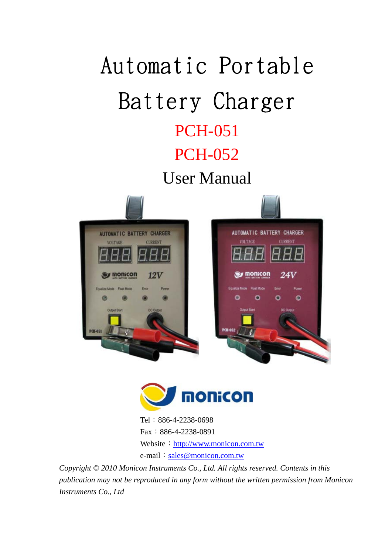# Automatic Portable Battery Charger PCH-051 PCH-052

User Manual





Tel:886-4-2238-0698 Fax:886-4-2238-0891 Website: http://www.monicon.com.tw e-mail: sales@monicon.com.tw

*Copyright © 2010 Monicon Instruments Co., Ltd. All rights reserved. Contents in this publication may not be reproduced in any form without the written permission from Monicon Instruments Co., Ltd*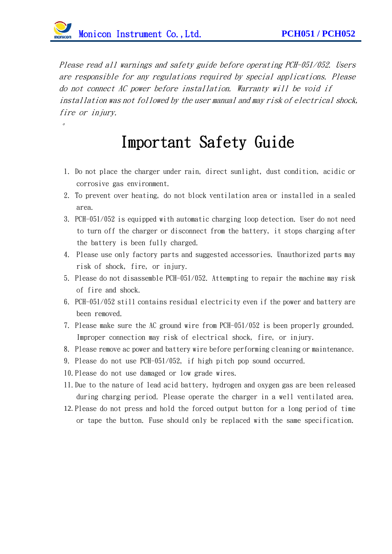$\mathcal O$ 

Please read all warnings and safety guide before operating PCH-051/052. Users are responsible for any regulations required by special applications. Please do not connect AC power before installation. Warranty will be void if installation was not followed by the user manual and may risk of electrical shock, fire or *injury*.

#### Important Safety Guide

- 1. Do not place the charger under rain, direct sunlight, dust condition, acidic or corrosive gas environment.
- 2. To prevent over heating, do not block ventilation area or installed in a sealed area.
- 3. PCH-051/052 is equipped with automatic charging loop detection. User do not need to turn off the charger or disconnect from the battery, it stops charging after the battery is been fully charged.
- 4. Please use only factory parts and suggested accessories. Unauthorized parts may risk of shock, fire, or injury.
- 5. Please do not disassemble PCH-051/052. Attempting to repair the machine may risk of fire and shock.
- 6. PCH-051/052 still contains residual electricity even if the power and battery are been removed.
- 7. Please make sure the AC ground wire from PCH-051/052 is been properly grounded. Improper connection may risk of electrical shock, fire, or injury.
- 8. Please remove ac power and battery wire before performing cleaning or maintenance.
- 9. Please do not use PCH-051/052, if high pitch pop sound occurred.
- 10.Please do not use damaged or low grade wires.
- 11.Due to the nature of lead acid battery, hydrogen and oxygen gas are been released during charging period. Please operate the charger in a well ventilated area.
- 12. Please do not press and hold the forced output button for a long period of time or tape the button. Fuse should only be replaced with the same specification.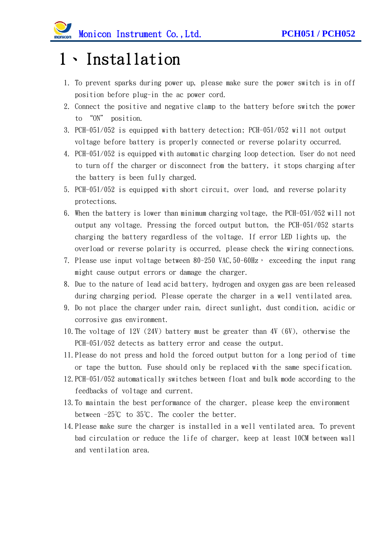### 1、Installation

- 1. To prevent sparks during power up, please make sure the power switch is in off position before plug-in the ac power cord.
- 2. Connect the positive and negative clamp to the battery before switch the power to "ON" position.
- 3. PCH-051/052 is equipped with battery detection; PCH-051/052 will not output voltage before battery is properly connected or reverse polarity occurred.
- 4. PCH-051/052 is equipped with automatic charging loop detection. User do not need to turn off the charger or disconnect from the battery, it stops charging after the battery is been fully charged.
- 5. PCH-051/052 is equipped with short circuit, over load, and reverse polarity protections.
- 6. When the battery is lower than minimum charging voltage, the PCH-051/052 will not output any voltage. Pressing the forced output button, the PCH-051/052 starts charging the battery regardless of the voltage. If error LED lights up, the overload or reverse polarity is occurred, please check the wiring connections.
- 7. Please use input voltage between  $80~250$  VAC,  $50-60$ Hz, exceeding the input rang might cause output errors or damage the charger.
- 8. Due to the nature of lead acid battery, hydrogen and oxygen gas are been released during charging period. Please operate the charger in a well ventilated area.
- 9. Do not place the charger under rain, direct sunlight, dust condition, acidic or corrosive gas environment.
- 10.The voltage of 12V (24V) battery must be greater than 4V (6V), otherwise the PCH-051/052 detects as battery error and cease the output.
- 11.Please do not press and hold the forced output button for a long period of time or tape the button. Fuse should only be replaced with the same specification.
- 12.PCH-051/052 automatically switches between float and bulk mode according to the feedbacks of voltage and current.
- 13.To maintain the best performance of the charger, please keep the environment between -25℃ to 35℃. The cooler the better.
- 14.Please make sure the charger is installed in a well ventilated area. To prevent bad circulation or reduce the life of charger, keep at least 10CM between wall and ventilation area.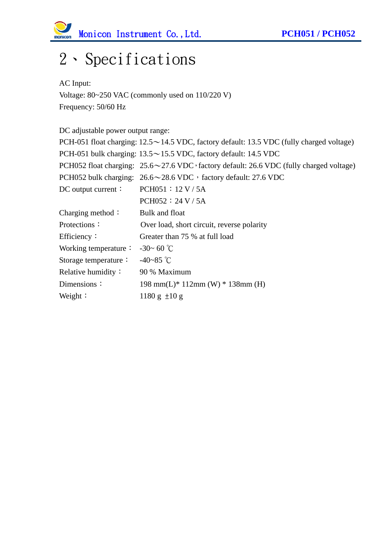

### 2、Specifications

AC Input: Voltage: 80~250 VAC (commonly used on 110/220 V) Frequency: 50/60 Hz

DC adjustable power output range: PCH-051 float charging:  $12.5 \sim 14.5$  VDC, factory default: 13.5 VDC (fully charged voltage) PCH-051 bulk charging: 13.5~15.5 VDC, factory default: 14.5 VDC PCH052 float charging:  $25.6 \sim 27.6$  VDC, factory default: 26.6 VDC (fully charged voltage) PCH052 bulk charging:  $26.6 \sim 28.6$  VDC, factory default: 27.6 VDC DC output current: PCH051: 12 V / 5A PCH052:24 V / 5A Charging method: Bulk and float Protections: Over load, short circuit, reverse polarity Efficiency: Greater than 75 % at full load Working temperature:  $-30~60~^{\circ}\text{C}$ Storage temperature: -40~85 ℃ Relative humidity: 90 % Maximum Dimensions: 198 mm(L)\* 112mm (W) \* 138mm (H) Weight:  $1180 g \pm 10 g$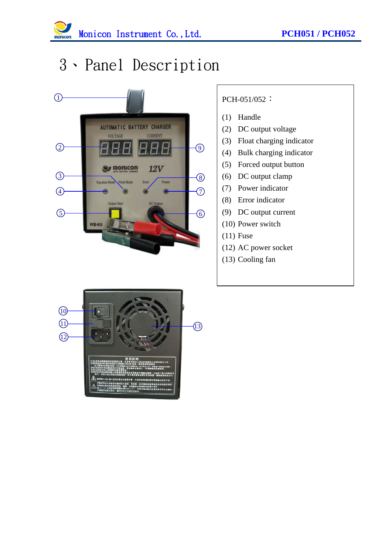

#### 3、Panel Description



#### PCH-051/052:

- (1) Handle
- (2) DC output voltage
- (3) Float charging indicator
- (4) Bulk charging indicator
- (5) Forced output button
- (6) DC output clamp
- (7) Power indicator
- (8) Error indicator
- (9) DC output current
- (10) Power switch
- (11) Fuse
- (12) AC power socket
- (13) Cooling fan